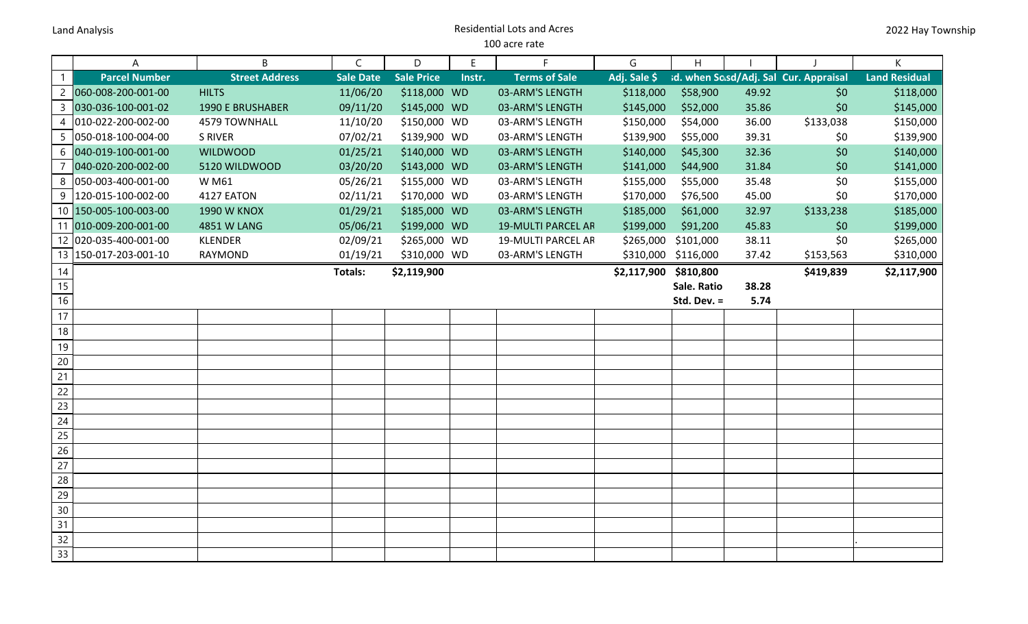## Land Analysis Residential Lots and Acres 100 acre rate

|                 | A                     | B                       | $\mathsf{C}$     | D                 | Ε      | F.                        | G            | H           |       |                                       | K                    |
|-----------------|-----------------------|-------------------------|------------------|-------------------|--------|---------------------------|--------------|-------------|-------|---------------------------------------|----------------------|
| $\mathbf{1}$    | <b>Parcel Number</b>  | <b>Street Address</b>   | <b>Sale Date</b> | <b>Sale Price</b> | Instr. | <b>Terms of Sale</b>      | Adj. Sale \$ |             |       | id. when Sasd/Adj. Sal Cur. Appraisal | <b>Land Residual</b> |
| $\overline{c}$  | 060-008-200-001-00    | <b>HILTS</b>            | 11/06/20         | \$118,000 WD      |        | 03-ARM'S LENGTH           | \$118,000    | \$58,900    | 49.92 | \$0                                   | \$118,000            |
| $\overline{3}$  | 030-036-100-001-02    | <b>1990 E BRUSHABER</b> | 09/11/20         | \$145,000 WD      |        | 03-ARM'S LENGTH           | \$145,000    | \$52,000    | 35.86 | \$0                                   | \$145,000            |
| $\overline{4}$  | 010-022-200-002-00    | 4579 TOWNHALL           | 11/10/20         | \$150,000 WD      |        | 03-ARM'S LENGTH           | \$150,000    | \$54,000    | 36.00 | \$133,038                             | \$150,000            |
| 5               | 050-018-100-004-00    | <b>S RIVER</b>          | 07/02/21         | \$139,900 WD      |        | 03-ARM'S LENGTH           | \$139,900    | \$55,000    | 39.31 | \$0                                   | \$139,900            |
| 6               | 040-019-100-001-00    | <b>WILDWOOD</b>         | 01/25/21         | \$140,000 WD      |        | 03-ARM'S LENGTH           | \$140,000    | \$45,300    | 32.36 | \$0                                   | \$140,000            |
| $\overline{7}$  | 040-020-200-002-00    | 5120 WILDWOOD           | 03/20/20         | \$143,000 WD      |        | 03-ARM'S LENGTH           | \$141,000    | \$44,900    | 31.84 | \$0                                   | \$141,000            |
| 8               | 050-003-400-001-00    | <b>WM61</b>             | 05/26/21         | \$155,000 WD      |        | 03-ARM'S LENGTH           | \$155,000    | \$55,000    | 35.48 | \$0                                   | \$155,000            |
| 9               | 120-015-100-002-00    | 4127 EATON              | 02/11/21         | \$170,000 WD      |        | 03-ARM'S LENGTH           | \$170,000    | \$76,500    | 45.00 | \$0                                   | \$170,000            |
|                 | 10 150-005-100-003-00 | <b>1990 W KNOX</b>      | 01/29/21         | \$185,000 WD      |        | 03-ARM'S LENGTH           | \$185,000    | \$61,000    | 32.97 | \$133,238                             | \$185,000            |
| 11              | 010-009-200-001-00    | 4851 W LANG             | 05/06/21         | \$199,000 WD      |        | <b>19-MULTI PARCEL AR</b> | \$199,000    | \$91,200    | 45.83 | \$0                                   | \$199,000            |
|                 | 12 020-035-400-001-00 | <b>KLENDER</b>          | 02/09/21         | \$265,000 WD      |        | <b>19-MULTI PARCEL AR</b> | \$265,000    | \$101,000   | 38.11 | \$0                                   | \$265,000            |
|                 | 13 150-017-203-001-10 | RAYMOND                 | 01/19/21         | \$310,000 WD      |        | 03-ARM'S LENGTH           | \$310,000    | \$116,000   | 37.42 | \$153,563                             | \$310,000            |
| 14              |                       |                         | Totals:          | \$2,119,900       |        |                           | \$2,117,900  | \$810,800   |       | \$419,839                             | \$2,117,900          |
| $\overline{15}$ |                       |                         |                  |                   |        |                           |              | Sale. Ratio | 38.28 |                                       |                      |
| 16              |                       |                         |                  |                   |        |                           |              | Std. Dev. = | 5.74  |                                       |                      |
| 17              |                       |                         |                  |                   |        |                           |              |             |       |                                       |                      |
| $18\,$          |                       |                         |                  |                   |        |                           |              |             |       |                                       |                      |
| 19              |                       |                         |                  |                   |        |                           |              |             |       |                                       |                      |
| $20\,$          |                       |                         |                  |                   |        |                           |              |             |       |                                       |                      |
| 21              |                       |                         |                  |                   |        |                           |              |             |       |                                       |                      |
| 22              |                       |                         |                  |                   |        |                           |              |             |       |                                       |                      |
| 23              |                       |                         |                  |                   |        |                           |              |             |       |                                       |                      |
| 24              |                       |                         |                  |                   |        |                           |              |             |       |                                       |                      |
| $\overline{25}$ |                       |                         |                  |                   |        |                           |              |             |       |                                       |                      |
| 26              |                       |                         |                  |                   |        |                           |              |             |       |                                       |                      |
| 27              |                       |                         |                  |                   |        |                           |              |             |       |                                       |                      |
| 28              |                       |                         |                  |                   |        |                           |              |             |       |                                       |                      |
| $\overline{29}$ |                       |                         |                  |                   |        |                           |              |             |       |                                       |                      |
| 30              |                       |                         |                  |                   |        |                           |              |             |       |                                       |                      |
| 31              |                       |                         |                  |                   |        |                           |              |             |       |                                       |                      |
| $\overline{32}$ |                       |                         |                  |                   |        |                           |              |             |       |                                       |                      |
| 33              |                       |                         |                  |                   |        |                           |              |             |       |                                       |                      |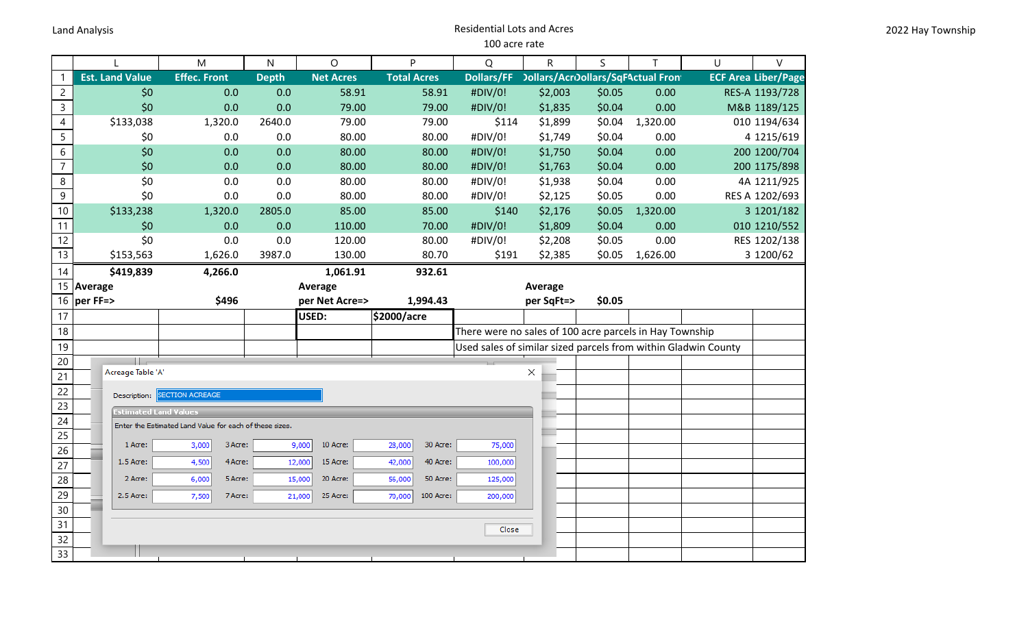## Land Analysis Residential Lots and Acres 100 acre rate

|                |                                                         | M                      | $\mathsf{N}$ | O                  | P                   | Q                                                              | $\mathsf R$                               | S      | T        | U | V                          |
|----------------|---------------------------------------------------------|------------------------|--------------|--------------------|---------------------|----------------------------------------------------------------|-------------------------------------------|--------|----------|---|----------------------------|
| $\mathbf{1}$   | <b>Est. Land Value</b>                                  | <b>Effec. Front</b>    | <b>Depth</b> | <b>Net Acres</b>   | <b>Total Acres</b>  | <b>Dollars/FF</b>                                              | <b>Dollars/Acroollars/SqFActual Front</b> |        |          |   | <b>ECF Area Liber/Page</b> |
| $\overline{2}$ | \$0                                                     | 0.0                    | 0.0          | 58.91              | 58.91               | #DIV/0!                                                        | \$2,003                                   | \$0.05 | 0.00     |   | RES-A 1193/728             |
| $\mathsf{3}$   | \$0                                                     | 0.0                    | 0.0          | 79.00              | 79.00               | #DIV/0!                                                        | \$1,835                                   | \$0.04 | 0.00     |   | M&B 1189/125               |
| $\overline{4}$ | \$133,038                                               | 1,320.0                | 2640.0       | 79.00              | 79.00               | \$114                                                          | \$1,899                                   | \$0.04 | 1,320.00 |   | 010 1194/634               |
| 5              | \$0                                                     | 0.0                    | 0.0          | 80.00              | 80.00               | #DIV/0!                                                        | \$1,749                                   | \$0.04 | 0.00     |   | 4 1215/619                 |
| $6\,$          | \$0                                                     | 0.0                    | 0.0          | 80.00              | 80.00               | #DIV/0!                                                        | \$1,750                                   | \$0.04 | 0.00     |   | 200 1200/704               |
| $\overline{7}$ | \$0                                                     | 0.0                    | 0.0          | 80.00              | 80.00               | #DIV/0!                                                        | \$1,763                                   | \$0.04 | 0.00     |   | 200 1175/898               |
| 8              | \$0                                                     | 0.0                    | 0.0          | 80.00              | 80.00               | #DIV/0!                                                        | \$1,938                                   | \$0.04 | 0.00     |   | 4A 1211/925                |
| $\mathsf g$    | \$0                                                     | 0.0                    | 0.0          | 80.00              | 80.00               | #DIV/0!                                                        | \$2,125                                   | \$0.05 | 0.00     |   | RES A 1202/693             |
| 10             | \$133,238                                               | 1,320.0                | 2805.0       | 85.00              | 85.00               | \$140                                                          | \$2,176                                   | \$0.05 | 1,320.00 |   | 3 1201/182                 |
| 11             | \$0                                                     | 0.0                    | 0.0          | 110.00             | 70.00               | #DIV/0!                                                        | \$1,809                                   | \$0.04 | 0.00     |   | 010 1210/552               |
| 12             | \$0                                                     | 0.0                    | 0.0          | 120.00             | 80.00               | #DIV/0!                                                        | \$2,208                                   | \$0.05 | 0.00     |   | RES 1202/138               |
| 13             | \$153,563                                               | 1,626.0                | 3987.0       | 130.00             | 80.70               | \$191                                                          | \$2,385                                   | \$0.05 | 1,626.00 |   | 3 1200/62                  |
| 14             | \$419,839                                               | 4,266.0                |              | 1,061.91           | 932.61              |                                                                |                                           |        |          |   |                            |
| 15             | Average<br>Average                                      |                        |              | Average            |                     |                                                                |                                           |        |          |   |                            |
| 16             | per FF=>                                                | \$496                  |              | per Net Acre=>     | 1,994.43            | per SqFt=>                                                     |                                           | \$0.05 |          |   |                            |
| 17             |                                                         |                        |              | USED:              | \$2000/acre         |                                                                |                                           |        |          |   |                            |
| 18             |                                                         |                        |              |                    |                     | There were no sales of 100 acre parcels in Hay Township        |                                           |        |          |   |                            |
| 19             |                                                         |                        |              |                    |                     | Used sales of similar sized parcels from within Gladwin County |                                           |        |          |   |                            |
| 20             | Ш                                                       |                        |              |                    |                     |                                                                |                                           |        |          |   |                            |
| 21             | Acreage Table 'A'                                       |                        |              |                    |                     |                                                                | ×                                         |        |          |   |                            |
| 22             | Description:                                            | <b>SECTION ACREAGE</b> |              |                    |                     |                                                                |                                           |        |          |   |                            |
| 23             | <b>Estimated Land Values</b>                            |                        |              |                    |                     |                                                                |                                           |        |          |   |                            |
| 24             | Enter the Estimated Land Value for each of these sizes. |                        |              |                    |                     |                                                                |                                           |        |          |   |                            |
| 25             | 1 Acre:                                                 | 3 Acre:<br>3,000       |              | 9,000<br>10 Acre:  | 30 Acre:<br>28,000  | 75,000                                                         |                                           |        |          |   |                            |
| 26             |                                                         |                        |              |                    |                     |                                                                |                                           |        |          |   |                            |
| 27             | 1.5 Acre:                                               | 4,500<br>4 Acre:       |              | 12,000<br>15 Acre: | 40 Acre:<br>42,000  | 100,000                                                        |                                           |        |          |   |                            |
| 28             | 2 Acre:                                                 | 5 Acre:<br>6,000       |              | 20 Acre:<br>15,000 | 50 Acre:<br>56,000  | 125,000                                                        |                                           |        |          |   |                            |
| 29             | 2.5 Acre:                                               | 7 Acre:<br>7,500       |              | 25 Acre:<br>21,000 | 100 Acre:<br>70,000 | 200,000                                                        |                                           |        |          |   |                            |
| 30             |                                                         |                        |              |                    |                     |                                                                |                                           |        |          |   |                            |
| 31             |                                                         |                        |              |                    |                     | Close                                                          |                                           |        |          |   |                            |
| 32             |                                                         |                        |              |                    |                     |                                                                |                                           |        |          |   |                            |
| 33             |                                                         |                        |              |                    |                     |                                                                |                                           |        |          |   |                            |